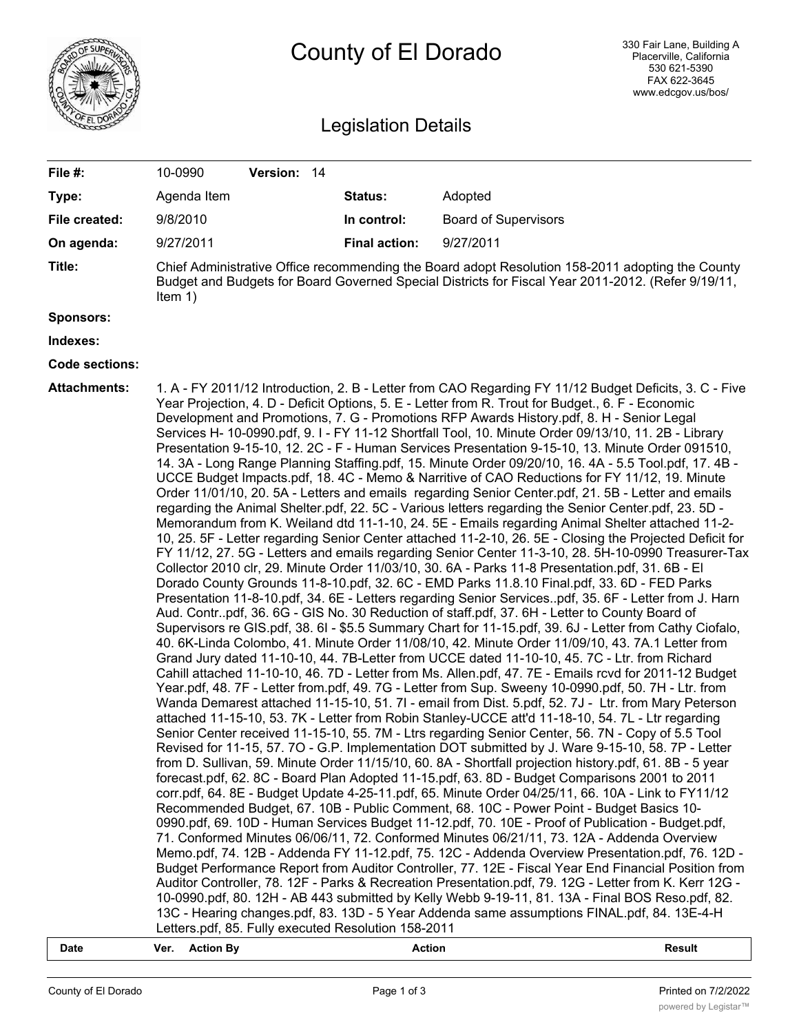

## County of El Dorado

## Legislation Details

| File #:               | 10-0990<br>Version: 14                                                                                                                                                                                                                                                                                                                                                                                                                                                                                                                                                                                                                                                                                                                                                                                                                                                                                                                                                                                                                                                                                                                                                                                                                                                                                                                                                                                                                                                                                                                                                                                                                                                                                                                                                                                                                                                                                                                                                                                                                                                                                                                                                                                                                                                                                                                                                                                                                                                                                                                                                                                                                                                                                                                                                                                                                                                                                                                                                                                                                                                                                                                                                                                                                                                                                                                                                                                                                                                                                                                                                                                                                                                                                                                                                          |                      |                             |  |  |
|-----------------------|---------------------------------------------------------------------------------------------------------------------------------------------------------------------------------------------------------------------------------------------------------------------------------------------------------------------------------------------------------------------------------------------------------------------------------------------------------------------------------------------------------------------------------------------------------------------------------------------------------------------------------------------------------------------------------------------------------------------------------------------------------------------------------------------------------------------------------------------------------------------------------------------------------------------------------------------------------------------------------------------------------------------------------------------------------------------------------------------------------------------------------------------------------------------------------------------------------------------------------------------------------------------------------------------------------------------------------------------------------------------------------------------------------------------------------------------------------------------------------------------------------------------------------------------------------------------------------------------------------------------------------------------------------------------------------------------------------------------------------------------------------------------------------------------------------------------------------------------------------------------------------------------------------------------------------------------------------------------------------------------------------------------------------------------------------------------------------------------------------------------------------------------------------------------------------------------------------------------------------------------------------------------------------------------------------------------------------------------------------------------------------------------------------------------------------------------------------------------------------------------------------------------------------------------------------------------------------------------------------------------------------------------------------------------------------------------------------------------------------------------------------------------------------------------------------------------------------------------------------------------------------------------------------------------------------------------------------------------------------------------------------------------------------------------------------------------------------------------------------------------------------------------------------------------------------------------------------------------------------------------------------------------------------------------------------------------------------------------------------------------------------------------------------------------------------------------------------------------------------------------------------------------------------------------------------------------------------------------------------------------------------------------------------------------------------------------------------------------------------------------------------------------------------|----------------------|-----------------------------|--|--|
| Type:                 | Agenda Item                                                                                                                                                                                                                                                                                                                                                                                                                                                                                                                                                                                                                                                                                                                                                                                                                                                                                                                                                                                                                                                                                                                                                                                                                                                                                                                                                                                                                                                                                                                                                                                                                                                                                                                                                                                                                                                                                                                                                                                                                                                                                                                                                                                                                                                                                                                                                                                                                                                                                                                                                                                                                                                                                                                                                                                                                                                                                                                                                                                                                                                                                                                                                                                                                                                                                                                                                                                                                                                                                                                                                                                                                                                                                                                                                                     | Status:              | Adopted                     |  |  |
| File created:         | 9/8/2010                                                                                                                                                                                                                                                                                                                                                                                                                                                                                                                                                                                                                                                                                                                                                                                                                                                                                                                                                                                                                                                                                                                                                                                                                                                                                                                                                                                                                                                                                                                                                                                                                                                                                                                                                                                                                                                                                                                                                                                                                                                                                                                                                                                                                                                                                                                                                                                                                                                                                                                                                                                                                                                                                                                                                                                                                                                                                                                                                                                                                                                                                                                                                                                                                                                                                                                                                                                                                                                                                                                                                                                                                                                                                                                                                                        | In control:          | <b>Board of Supervisors</b> |  |  |
| On agenda:            | 9/27/2011                                                                                                                                                                                                                                                                                                                                                                                                                                                                                                                                                                                                                                                                                                                                                                                                                                                                                                                                                                                                                                                                                                                                                                                                                                                                                                                                                                                                                                                                                                                                                                                                                                                                                                                                                                                                                                                                                                                                                                                                                                                                                                                                                                                                                                                                                                                                                                                                                                                                                                                                                                                                                                                                                                                                                                                                                                                                                                                                                                                                                                                                                                                                                                                                                                                                                                                                                                                                                                                                                                                                                                                                                                                                                                                                                                       | <b>Final action:</b> | 9/27/2011                   |  |  |
| Title:                | Chief Administrative Office recommending the Board adopt Resolution 158-2011 adopting the County<br>Budget and Budgets for Board Governed Special Districts for Fiscal Year 2011-2012. (Refer 9/19/11,<br>Item $1)$                                                                                                                                                                                                                                                                                                                                                                                                                                                                                                                                                                                                                                                                                                                                                                                                                                                                                                                                                                                                                                                                                                                                                                                                                                                                                                                                                                                                                                                                                                                                                                                                                                                                                                                                                                                                                                                                                                                                                                                                                                                                                                                                                                                                                                                                                                                                                                                                                                                                                                                                                                                                                                                                                                                                                                                                                                                                                                                                                                                                                                                                                                                                                                                                                                                                                                                                                                                                                                                                                                                                                             |                      |                             |  |  |
| <b>Sponsors:</b>      |                                                                                                                                                                                                                                                                                                                                                                                                                                                                                                                                                                                                                                                                                                                                                                                                                                                                                                                                                                                                                                                                                                                                                                                                                                                                                                                                                                                                                                                                                                                                                                                                                                                                                                                                                                                                                                                                                                                                                                                                                                                                                                                                                                                                                                                                                                                                                                                                                                                                                                                                                                                                                                                                                                                                                                                                                                                                                                                                                                                                                                                                                                                                                                                                                                                                                                                                                                                                                                                                                                                                                                                                                                                                                                                                                                                 |                      |                             |  |  |
| Indexes:              |                                                                                                                                                                                                                                                                                                                                                                                                                                                                                                                                                                                                                                                                                                                                                                                                                                                                                                                                                                                                                                                                                                                                                                                                                                                                                                                                                                                                                                                                                                                                                                                                                                                                                                                                                                                                                                                                                                                                                                                                                                                                                                                                                                                                                                                                                                                                                                                                                                                                                                                                                                                                                                                                                                                                                                                                                                                                                                                                                                                                                                                                                                                                                                                                                                                                                                                                                                                                                                                                                                                                                                                                                                                                                                                                                                                 |                      |                             |  |  |
| <b>Code sections:</b> |                                                                                                                                                                                                                                                                                                                                                                                                                                                                                                                                                                                                                                                                                                                                                                                                                                                                                                                                                                                                                                                                                                                                                                                                                                                                                                                                                                                                                                                                                                                                                                                                                                                                                                                                                                                                                                                                                                                                                                                                                                                                                                                                                                                                                                                                                                                                                                                                                                                                                                                                                                                                                                                                                                                                                                                                                                                                                                                                                                                                                                                                                                                                                                                                                                                                                                                                                                                                                                                                                                                                                                                                                                                                                                                                                                                 |                      |                             |  |  |
| <b>Attachments:</b>   | 1. A - FY 2011/12 Introduction, 2. B - Letter from CAO Regarding FY 11/12 Budget Deficits, 3. C - Five<br>Year Projection, 4. D - Deficit Options, 5. E - Letter from R. Trout for Budget., 6. F - Economic<br>Development and Promotions, 7. G - Promotions RFP Awards History.pdf, 8. H - Senior Legal<br>Services H- 10-0990.pdf, 9.1 - FY 11-12 Shortfall Tool, 10. Minute Order 09/13/10, 11. 2B - Library<br>Presentation 9-15-10, 12. 2C - F - Human Services Presentation 9-15-10, 13. Minute Order 091510,<br>14. 3A - Long Range Planning Staffing.pdf, 15. Minute Order 09/20/10, 16. 4A - 5.5 Tool.pdf, 17. 4B -<br>UCCE Budget Impacts.pdf, 18. 4C - Memo & Narritive of CAO Reductions for FY 11/12, 19. Minute<br>Order 11/01/10, 20. 5A - Letters and emails regarding Senior Center.pdf, 21. 5B - Letter and emails<br>regarding the Animal Shelter.pdf, 22. 5C - Various letters regarding the Senior Center.pdf, 23. 5D -<br>Memorandum from K. Weiland dtd 11-1-10, 24. 5E - Emails regarding Animal Shelter attached 11-2-<br>10, 25. 5F - Letter regarding Senior Center attached 11-2-10, 26. 5E - Closing the Projected Deficit for<br>FY 11/12, 27. 5G - Letters and emails regarding Senior Center 11-3-10, 28. 5H-10-0990 Treasurer-Tax<br>Collector 2010 clr, 29. Minute Order 11/03/10, 30. 6A - Parks 11-8 Presentation.pdf, 31. 6B - El<br>Dorado County Grounds 11-8-10.pdf, 32. 6C - EMD Parks 11.8.10 Final.pdf, 33. 6D - FED Parks<br>Presentation 11-8-10.pdf, 34. 6E - Letters regarding Senior Servicespdf, 35. 6F - Letter from J. Harn<br>Aud. Contrpdf, 36. 6G - GIS No. 30 Reduction of staff.pdf, 37. 6H - Letter to County Board of<br>Supervisors re GIS.pdf, 38. 6I - \$5.5 Summary Chart for 11-15.pdf, 39. 6J - Letter from Cathy Ciofalo,<br>40. 6K-Linda Colombo, 41. Minute Order 11/08/10, 42. Minute Order 11/09/10, 43. 7A.1 Letter from<br>Grand Jury dated 11-10-10, 44. 7B-Letter from UCCE dated 11-10-10, 45. 7C - Ltr. from Richard<br>Cahill attached 11-10-10, 46. 7D - Letter from Ms. Allen.pdf, 47. 7E - Emails rcvd for 2011-12 Budget<br>Year.pdf, 48. 7F - Letter from.pdf, 49. 7G - Letter from Sup. Sweeny 10-0990.pdf, 50. 7H - Ltr. from<br>Wanda Demarest attached 11-15-10, 51. 7l - email from Dist. 5.pdf, 52. 7J - Ltr. from Mary Peterson<br>attached 11-15-10, 53. 7K - Letter from Robin Stanley-UCCE att'd 11-18-10, 54. 7L - Ltr regarding<br>Senior Center received 11-15-10, 55. 7M - Ltrs regarding Senior Center, 56. 7N - Copy of 5.5 Tool<br>Revised for 11-15, 57. 7O - G.P. Implementation DOT submitted by J. Ware 9-15-10, 58. 7P - Letter<br>from D. Sullivan, 59. Minute Order 11/15/10, 60. 8A - Shortfall projection history.pdf, 61. 8B - 5 year<br>forecast.pdf, 62. 8C - Board Plan Adopted 11-15.pdf, 63. 8D - Budget Comparisons 2001 to 2011<br>corr.pdf, 64. 8E - Budget Update 4-25-11.pdf, 65. Minute Order 04/25/11, 66. 10A - Link to FY11/12<br>Recommended Budget, 67. 10B - Public Comment, 68. 10C - Power Point - Budget Basics 10-<br>0990.pdf, 69. 10D - Human Services Budget 11-12.pdf, 70. 10E - Proof of Publication - Budget.pdf,<br>71. Conformed Minutes 06/06/11, 72. Conformed Minutes 06/21/11, 73. 12A - Addenda Overview<br>Memo.pdf, 74. 12B - Addenda FY 11-12.pdf, 75. 12C - Addenda Overview Presentation.pdf, 76. 12D -<br>Budget Performance Report from Auditor Controller, 77. 12E - Fiscal Year End Financial Position from<br>Auditor Controller, 78. 12F - Parks & Recreation Presentation.pdf, 79. 12G - Letter from K. Kerr 12G -<br>10-0990.pdf, 80. 12H - AB 443 submitted by Kelly Webb 9-19-11, 81. 13A - Final BOS Reso.pdf, 82.<br>13C - Hearing changes.pdf, 83. 13D - 5 Year Addenda same assumptions FINAL.pdf, 84. 13E-4-H |                      |                             |  |  |

- **Date Ver. Action By Action Result**
	-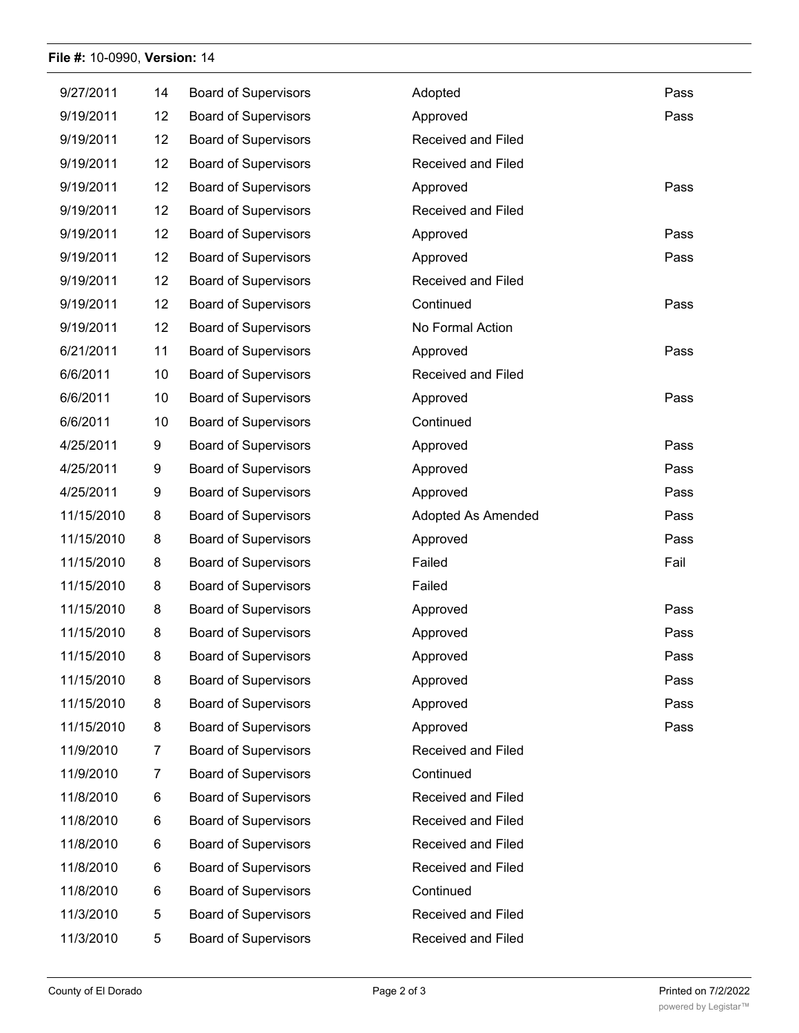## **File #:** 10-0990, **Version:** 14

| 9/27/2011  | 14             | <b>Board of Supervisors</b> | Adopted            | Pass |
|------------|----------------|-----------------------------|--------------------|------|
| 9/19/2011  | 12             | <b>Board of Supervisors</b> | Approved           | Pass |
| 9/19/2011  | 12             | <b>Board of Supervisors</b> | Received and Filed |      |
| 9/19/2011  | 12             | <b>Board of Supervisors</b> | Received and Filed |      |
| 9/19/2011  | 12             | <b>Board of Supervisors</b> | Approved           | Pass |
| 9/19/2011  | 12             | <b>Board of Supervisors</b> | Received and Filed |      |
| 9/19/2011  | 12             | <b>Board of Supervisors</b> | Approved           | Pass |
| 9/19/2011  | 12             | <b>Board of Supervisors</b> | Approved           | Pass |
| 9/19/2011  | 12             | <b>Board of Supervisors</b> | Received and Filed |      |
| 9/19/2011  | 12             | <b>Board of Supervisors</b> | Continued          | Pass |
| 9/19/2011  | 12             | <b>Board of Supervisors</b> | No Formal Action   |      |
| 6/21/2011  | 11             | <b>Board of Supervisors</b> | Approved           | Pass |
| 6/6/2011   | 10             | <b>Board of Supervisors</b> | Received and Filed |      |
| 6/6/2011   | 10             | <b>Board of Supervisors</b> | Approved           | Pass |
| 6/6/2011   | 10             | <b>Board of Supervisors</b> | Continued          |      |
| 4/25/2011  | 9              | <b>Board of Supervisors</b> | Approved           | Pass |
| 4/25/2011  | 9              | <b>Board of Supervisors</b> | Approved           | Pass |
| 4/25/2011  | 9              | <b>Board of Supervisors</b> | Approved           | Pass |
| 11/15/2010 | 8              | <b>Board of Supervisors</b> | Adopted As Amended | Pass |
| 11/15/2010 | 8              | <b>Board of Supervisors</b> | Approved           | Pass |
| 11/15/2010 | 8              | <b>Board of Supervisors</b> | Failed             | Fail |
| 11/15/2010 | 8              | <b>Board of Supervisors</b> | Failed             |      |
| 11/15/2010 | 8              | <b>Board of Supervisors</b> | Approved           | Pass |
| 11/15/2010 | 8              | <b>Board of Supervisors</b> | Approved           | Pass |
| 11/15/2010 | 8              | <b>Board of Supervisors</b> | Approved           | Pass |
| 11/15/2010 | 8              | <b>Board of Supervisors</b> | Approved           | Pass |
| 11/15/2010 | 8              | <b>Board of Supervisors</b> | Approved           | Pass |
| 11/15/2010 | 8              | <b>Board of Supervisors</b> | Approved           | Pass |
| 11/9/2010  | $\overline{7}$ | <b>Board of Supervisors</b> | Received and Filed |      |
| 11/9/2010  | $\overline{7}$ | <b>Board of Supervisors</b> | Continued          |      |
| 11/8/2010  | 6              | <b>Board of Supervisors</b> | Received and Filed |      |
| 11/8/2010  | 6              | <b>Board of Supervisors</b> | Received and Filed |      |
| 11/8/2010  | 6              | <b>Board of Supervisors</b> | Received and Filed |      |
| 11/8/2010  | 6              | <b>Board of Supervisors</b> | Received and Filed |      |
| 11/8/2010  | 6              | <b>Board of Supervisors</b> | Continued          |      |
| 11/3/2010  | 5              | <b>Board of Supervisors</b> | Received and Filed |      |
| 11/3/2010  | 5              | <b>Board of Supervisors</b> | Received and Filed |      |